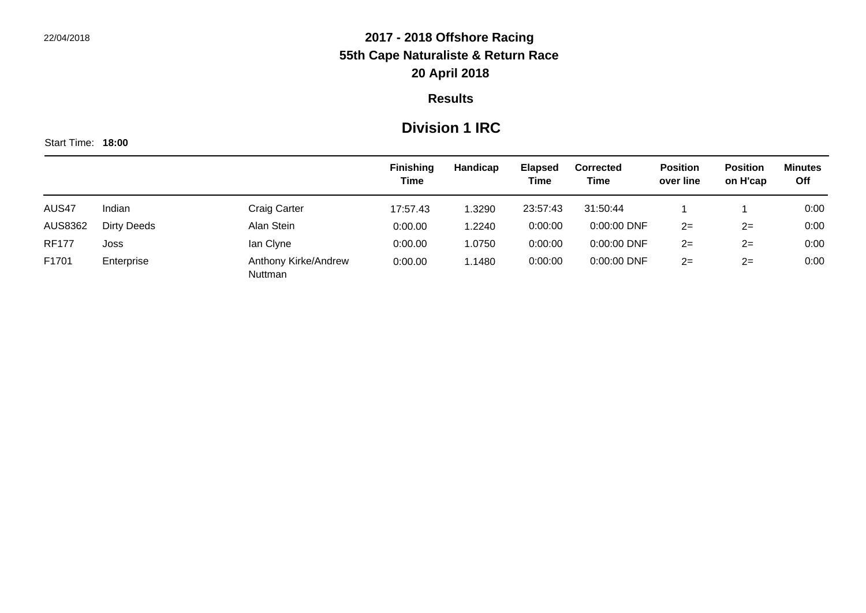#### **Results**

### **Division 1 IRC**

|              |                    |                                 | <b>Finishing</b> | Handicap | <b>Elapsed</b> | <b>Corrected</b> | <b>Position</b> | <b>Position</b> | <b>Minutes</b> |
|--------------|--------------------|---------------------------------|------------------|----------|----------------|------------------|-----------------|-----------------|----------------|
|              |                    |                                 | <b>Time</b>      |          | Time           | Time             | over line       | on H'cap        | Off            |
| AUS47        | Indian             | Craig Carter                    | 17:57.43         | .3290    | 23:57:43       | 31:50:44         |                 |                 | 0:00           |
| AUS8362      | <b>Dirty Deeds</b> | Alan Stein                      | 0:00.00          | 1.2240   | 0:00:00        | $0:00:00$ DNF    | $2 =$           | $2 =$           | 0:00           |
| <b>RF177</b> | Joss               | lan Clyne                       | 0:00.00          | 1.0750   | 0:00:00        | 0:00:00 DNF      | $2 =$           | $2 =$           | 0:00           |
| F1701        | Enterprise         | Anthony Kirke/Andrew<br>Nuttman | 0:00.00          | .1480    | 0:00:00        | $0:00:00$ DNF    | $2 =$           | $2=$            | 0:00           |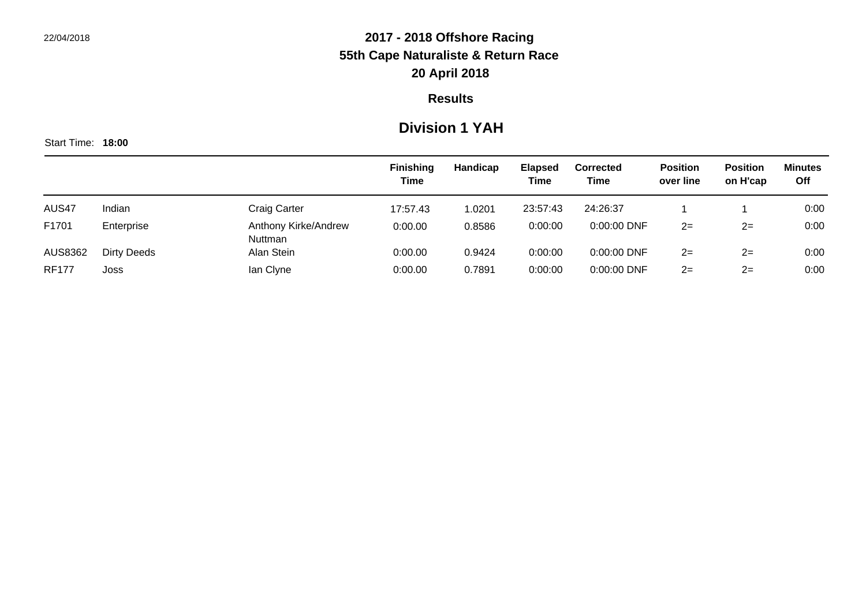#### **Results**

### **Division 1 YAH**

|              |                    |                                 | <b>Finishing</b><br><b>Time</b> | Handicap | <b>Elapsed</b><br><b>Time</b> | Corrected<br><b>Time</b> | <b>Position</b><br>over line | <b>Position</b><br>on H'cap | <b>Minutes</b><br>Off |
|--------------|--------------------|---------------------------------|---------------------------------|----------|-------------------------------|--------------------------|------------------------------|-----------------------------|-----------------------|
| AUS47        | Indian             | <b>Craig Carter</b>             | 17:57.43                        | 1.0201   | 23:57:43                      | 24:26:37                 |                              |                             | 0:00                  |
| F1701        | Enterprise         | Anthony Kirke/Andrew<br>Nuttman | 0:00.00                         | 0.8586   | 0:00:00                       | 0:00:00 DNF              | $2 =$                        | $2 =$                       | 0:00                  |
| AUS8362      | <b>Dirty Deeds</b> | Alan Stein                      | 0:00.00                         | 0.9424   | 0:00:00                       | 0:00:00 DNF              | $2=$                         | $2 =$                       | 0:00                  |
| <b>RF177</b> | Joss               | lan Clyne                       | 0:00.00                         | 0.7891   | 0:00:00                       | 0:00:00 DNF              | $2 =$                        | $2 =$                       | 0:00                  |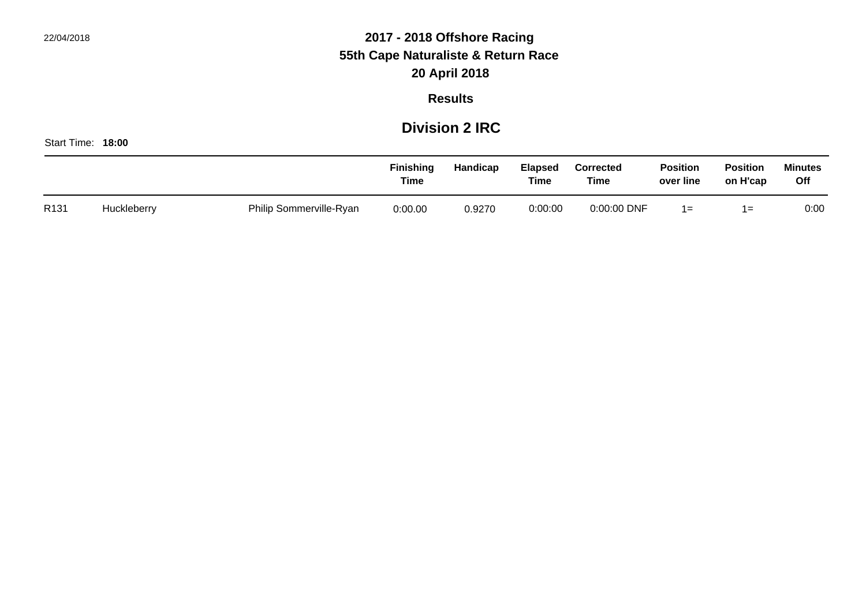#### **Results**

### **Division 2 IRC**

|      |             |                         | <b>Finishing</b><br><b>Time</b> | Handicap | <b>Elapsed</b><br>Time | <b>Corrected</b><br>Time | <b>Position</b><br>over line | <b>Position</b><br>on H'cap | <b>Minutes</b><br>Off |
|------|-------------|-------------------------|---------------------------------|----------|------------------------|--------------------------|------------------------------|-----------------------------|-----------------------|
| R131 | Huckleberry | Philip Sommerville-Ryan | 0:00.00                         | 0.9270   | 0:00:00                | 0:00:00 DNF              | 1=                           | 1=                          | 0:00                  |